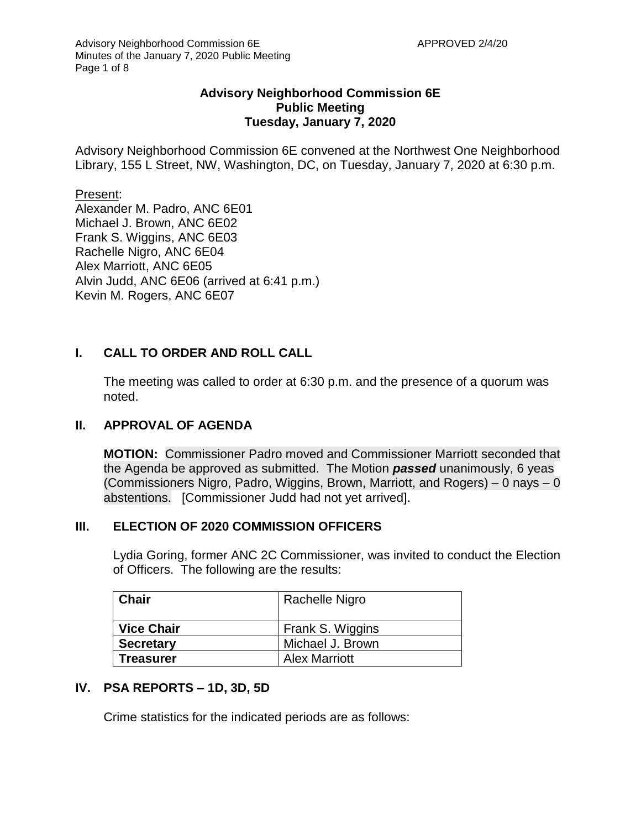### **Advisory Neighborhood Commission 6E Public Meeting Tuesday, January 7, 2020**

Advisory Neighborhood Commission 6E convened at the Northwest One Neighborhood Library, 155 L Street, NW, Washington, DC, on Tuesday, January 7, 2020 at 6:30 p.m.

#### Present:

Alexander M. Padro, ANC 6E01 Michael J. Brown, ANC 6E02 Frank S. Wiggins, ANC 6E03 Rachelle Nigro, ANC 6E04 Alex Marriott, ANC 6E05 Alvin Judd, ANC 6E06 (arrived at 6:41 p.m.) Kevin M. Rogers, ANC 6E07

### **I. CALL TO ORDER AND ROLL CALL**

The meeting was called to order at 6:30 p.m. and the presence of a quorum was noted.

### **II. APPROVAL OF AGENDA**

**MOTION:** Commissioner Padro moved and Commissioner Marriott seconded that the Agenda be approved as submitted. The Motion *passed* unanimously, 6 yeas (Commissioners Nigro, Padro, Wiggins, Brown, Marriott, and Rogers) – 0 nays – 0 abstentions. [Commissioner Judd had not yet arrived].

### **III. ELECTION OF 2020 COMMISSION OFFICERS**

Lydia Goring, former ANC 2C Commissioner, was invited to conduct the Election of Officers. The following are the results:

| Chair             | Rachelle Nigro       |
|-------------------|----------------------|
| <b>Vice Chair</b> | Frank S. Wiggins     |
| <b>Secretary</b>  | Michael J. Brown     |
| <b>Treasurer</b>  | <b>Alex Marriott</b> |

### **IV. PSA REPORTS – 1D, 3D, 5D**

Crime statistics for the indicated periods are as follows: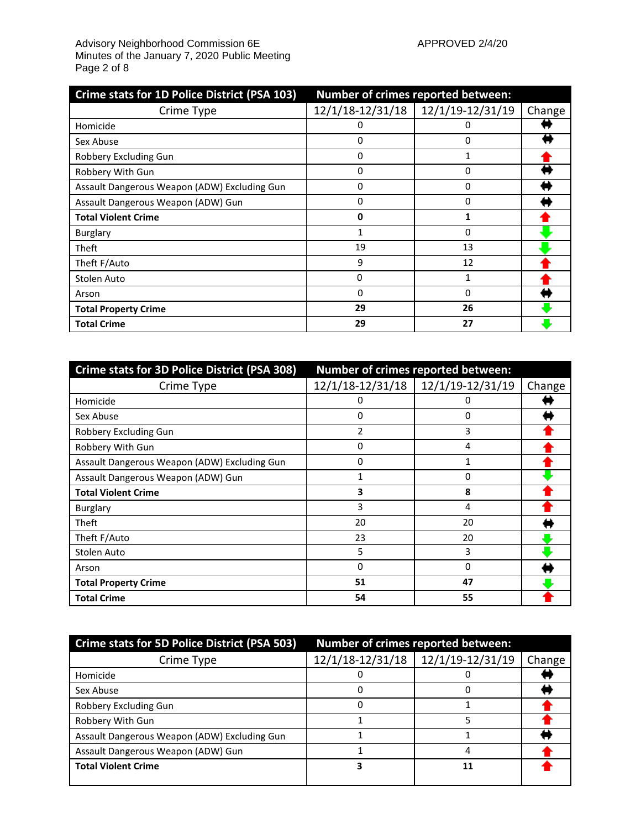| Crime stats for 1D Police District (PSA 103) | Number of crimes reported between: |                  |        |
|----------------------------------------------|------------------------------------|------------------|--------|
| Crime Type                                   | 12/1/18-12/31/18                   | 12/1/19-12/31/19 | Change |
| Homicide                                     | 0                                  | 0                |        |
| Sex Abuse                                    | 0                                  | 0                |        |
| Robbery Excluding Gun                        | 0                                  | 1                |        |
| Robbery With Gun                             | 0                                  | 0                |        |
| Assault Dangerous Weapon (ADW) Excluding Gun | $\Omega$                           | $\Omega$         |        |
| Assault Dangerous Weapon (ADW) Gun           | $\Omega$                           | 0                |        |
| <b>Total Violent Crime</b>                   | 0                                  |                  |        |
| <b>Burglary</b>                              | 1                                  | $\Omega$         |        |
| Theft                                        | 19                                 | 13               |        |
| Theft F/Auto                                 | 9                                  | 12               |        |
| Stolen Auto                                  | 0                                  |                  |        |
| Arson                                        | $\Omega$                           | 0                |        |
| <b>Total Property Crime</b>                  | 29                                 | 26               |        |
| <b>Total Crime</b>                           | 29                                 | 27               |        |

| Crime stats for 3D Police District (PSA 308) |                  | Number of crimes reported between: |        |
|----------------------------------------------|------------------|------------------------------------|--------|
| Crime Type                                   | 12/1/18-12/31/18 | 12/1/19-12/31/19                   | Change |
| Homicide                                     | 0                | 0                                  |        |
| Sex Abuse                                    | 0                | 0                                  |        |
| Robbery Excluding Gun                        | 2                | 3                                  |        |
| Robbery With Gun                             | 0                | 4                                  |        |
| Assault Dangerous Weapon (ADW) Excluding Gun | 0                | $\mathbf{1}$                       |        |
| Assault Dangerous Weapon (ADW) Gun           | 1                | 0                                  |        |
| <b>Total Violent Crime</b>                   | 3                | 8                                  |        |
| Burglary                                     | 3                | 4                                  |        |
| Theft                                        | 20               | 20                                 |        |
| Theft F/Auto                                 | 23               | 20                                 |        |
| Stolen Auto                                  | 5                | 3                                  |        |
| Arson                                        | 0                | 0                                  |        |
| <b>Total Property Crime</b>                  | 51               | 47                                 |        |
| <b>Total Crime</b>                           | 54               | 55                                 |        |

| <b>Crime stats for 5D Police District (PSA 503)</b> |                  | Number of crimes reported between: |        |
|-----------------------------------------------------|------------------|------------------------------------|--------|
| Crime Type                                          | 12/1/18-12/31/18 | 12/1/19-12/31/19                   | Change |
| Homicide                                            |                  |                                    |        |
| Sex Abuse                                           |                  |                                    |        |
| Robbery Excluding Gun                               |                  |                                    |        |
| Robbery With Gun                                    |                  |                                    |        |
| Assault Dangerous Weapon (ADW) Excluding Gun        |                  |                                    |        |
| Assault Dangerous Weapon (ADW) Gun                  |                  |                                    |        |
| <b>Total Violent Crime</b>                          |                  | 11                                 |        |
|                                                     |                  |                                    |        |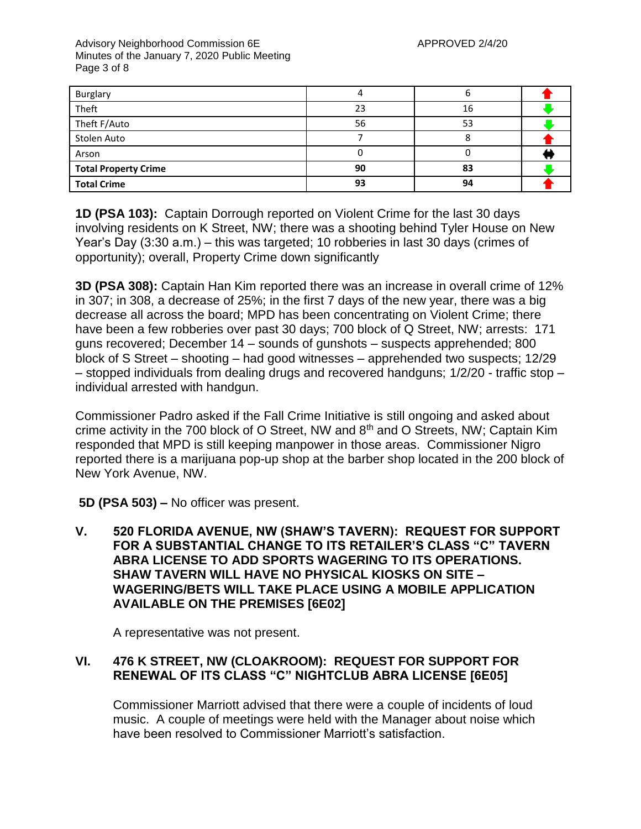Advisory Neighborhood Commission 6E APPROVED 2/4/20 Minutes of the January 7, 2020 Public Meeting Page 3 of 8

| Burglary                    |    |    |  |
|-----------------------------|----|----|--|
| Theft                       | 23 | 16 |  |
| Theft F/Auto                | 56 | 53 |  |
| Stolen Auto                 |    |    |  |
| Arson                       |    |    |  |
| <b>Total Property Crime</b> | 90 | 83 |  |
| <b>Total Crime</b>          | 93 | 94 |  |

**1D (PSA 103):** Captain Dorrough reported on Violent Crime for the last 30 days involving residents on K Street, NW; there was a shooting behind Tyler House on New Year's Day (3:30 a.m.) – this was targeted; 10 robberies in last 30 days (crimes of opportunity); overall, Property Crime down significantly

**3D (PSA 308):** Captain Han Kim reported there was an increase in overall crime of 12% in 307; in 308, a decrease of 25%; in the first 7 days of the new year, there was a big decrease all across the board; MPD has been concentrating on Violent Crime; there have been a few robberies over past 30 days; 700 block of Q Street, NW; arrests: 171 guns recovered; December 14 – sounds of gunshots – suspects apprehended; 800 block of S Street – shooting – had good witnesses – apprehended two suspects; 12/29 – stopped individuals from dealing drugs and recovered handguns; 1/2/20 - traffic stop – individual arrested with handgun.

Commissioner Padro asked if the Fall Crime Initiative is still ongoing and asked about crime activity in the 700 block of O Street, NW and 8th and O Streets, NW; Captain Kim responded that MPD is still keeping manpower in those areas. Commissioner Nigro reported there is a marijuana pop-up shop at the barber shop located in the 200 block of New York Avenue, NW.

**5D (PSA 503) –** No officer was present.

**V. 520 FLORIDA AVENUE, NW (SHAW'S TAVERN): REQUEST FOR SUPPORT FOR A SUBSTANTIAL CHANGE TO ITS RETAILER'S CLASS "C" TAVERN ABRA LICENSE TO ADD SPORTS WAGERING TO ITS OPERATIONS. SHAW TAVERN WILL HAVE NO PHYSICAL KIOSKS ON SITE – WAGERING/BETS WILL TAKE PLACE USING A MOBILE APPLICATION AVAILABLE ON THE PREMISES [6E02]**

A representative was not present.

### **VI. 476 K STREET, NW (CLOAKROOM): REQUEST FOR SUPPORT FOR RENEWAL OF ITS CLASS "C" NIGHTCLUB ABRA LICENSE [6E05]**

Commissioner Marriott advised that there were a couple of incidents of loud music. A couple of meetings were held with the Manager about noise which have been resolved to Commissioner Marriott's satisfaction.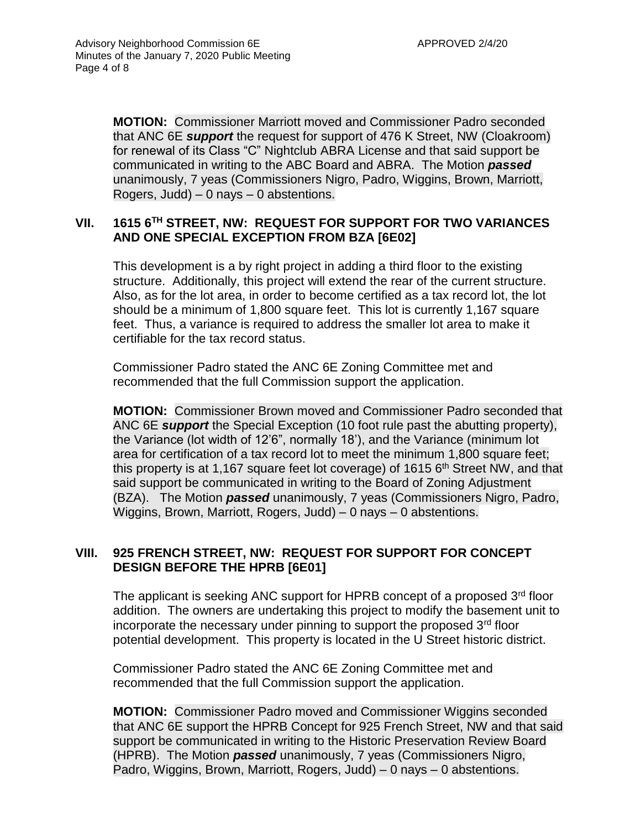**MOTION:** Commissioner Marriott moved and Commissioner Padro seconded that ANC 6E *support* the request for support of 476 K Street, NW (Cloakroom) for renewal of its Class "C" Nightclub ABRA License and that said support be communicated in writing to the ABC Board and ABRA. The Motion *passed* unanimously, 7 yeas (Commissioners Nigro, Padro, Wiggins, Brown, Marriott, Rogers, Judd)  $-0$  nays  $-0$  abstentions.

### **VII. 1615 6TH STREET, NW: REQUEST FOR SUPPORT FOR TWO VARIANCES AND ONE SPECIAL EXCEPTION FROM BZA [6E02]**

This development is a by right project in adding a third floor to the existing structure. Additionally, this project will extend the rear of the current structure. Also, as for the lot area, in order to become certified as a tax record lot, the lot should be a minimum of 1,800 square feet. This lot is currently 1,167 square feet. Thus, a variance is required to address the smaller lot area to make it certifiable for the tax record status.

Commissioner Padro stated the ANC 6E Zoning Committee met and recommended that the full Commission support the application.

**MOTION:** Commissioner Brown moved and Commissioner Padro seconded that ANC 6E *support* the Special Exception (10 foot rule past the abutting property), the Variance (lot width of 12'6", normally 18'), and the Variance (minimum lot area for certification of a tax record lot to meet the minimum 1,800 square feet; this property is at 1,167 square feet lot coverage) of 1615  $6<sup>th</sup>$  Street NW, and that said support be communicated in writing to the Board of Zoning Adjustment (BZA). The Motion *passed* unanimously, 7 yeas (Commissioners Nigro, Padro, Wiggins, Brown, Marriott, Rogers, Judd) – 0 nays – 0 abstentions.

### **VIII. 925 FRENCH STREET, NW: REQUEST FOR SUPPORT FOR CONCEPT DESIGN BEFORE THE HPRB [6E01]**

The applicant is seeking ANC support for HPRB concept of a proposed 3<sup>rd</sup> floor addition. The owners are undertaking this project to modify the basement unit to incorporate the necessary under pinning to support the proposed 3<sup>rd</sup> floor potential development. This property is located in the U Street historic district.

Commissioner Padro stated the ANC 6E Zoning Committee met and recommended that the full Commission support the application.

**MOTION:** Commissioner Padro moved and Commissioner Wiggins seconded that ANC 6E support the HPRB Concept for 925 French Street, NW and that said support be communicated in writing to the Historic Preservation Review Board (HPRB). The Motion *passed* unanimously, 7 yeas (Commissioners Nigro, Padro, Wiggins, Brown, Marriott, Rogers, Judd) – 0 nays – 0 abstentions.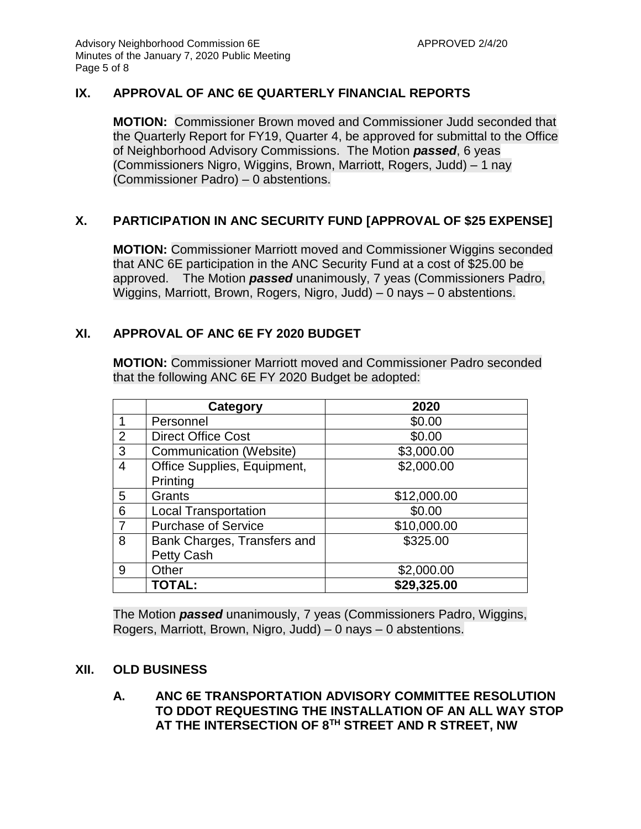## **IX. APPROVAL OF ANC 6E QUARTERLY FINANCIAL REPORTS**

**MOTION:** Commissioner Brown moved and Commissioner Judd seconded that the Quarterly Report for FY19, Quarter 4, be approved for submittal to the Office of Neighborhood Advisory Commissions. The Motion *passed*, 6 yeas (Commissioners Nigro, Wiggins, Brown, Marriott, Rogers, Judd) – 1 nay (Commissioner Padro) – 0 abstentions.

### **X. PARTICIPATION IN ANC SECURITY FUND [APPROVAL OF \$25 EXPENSE]**

**MOTION:** Commissioner Marriott moved and Commissioner Wiggins seconded that ANC 6E participation in the ANC Security Fund at a cost of \$25.00 be approved. The Motion *passed* unanimously, 7 yeas (Commissioners Padro, Wiggins, Marriott, Brown, Rogers, Nigro, Judd) – 0 nays – 0 abstentions.

### **XI. APPROVAL OF ANC 6E FY 2020 BUDGET**

**MOTION:** Commissioner Marriott moved and Commissioner Padro seconded that the following ANC 6E FY 2020 Budget be adopted:

|                | <b>Category</b>             | 2020        |
|----------------|-----------------------------|-------------|
| 1              | Personnel                   | \$0.00      |
| 2              | <b>Direct Office Cost</b>   | \$0.00      |
| $\mathfrak{S}$ | Communication (Website)     | \$3,000.00  |
| $\overline{4}$ | Office Supplies, Equipment, | \$2,000.00  |
|                | Printing                    |             |
| 5              | Grants                      | \$12,000.00 |
| 6              | <b>Local Transportation</b> | \$0.00      |
| $\overline{7}$ | <b>Purchase of Service</b>  | \$10,000.00 |
| 8              | Bank Charges, Transfers and | \$325.00    |
|                | Petty Cash                  |             |
| 9              | Other                       | \$2,000.00  |
|                | <b>TOTAL:</b>               | \$29,325.00 |

The Motion *passed* unanimously, 7 yeas (Commissioners Padro, Wiggins, Rogers, Marriott, Brown, Nigro, Judd) – 0 nays – 0 abstentions.

### **XII. OLD BUSINESS**

**A. ANC 6E TRANSPORTATION ADVISORY COMMITTEE RESOLUTION TO DDOT REQUESTING THE INSTALLATION OF AN ALL WAY STOP AT THE INTERSECTION OF 8TH STREET AND R STREET, NW**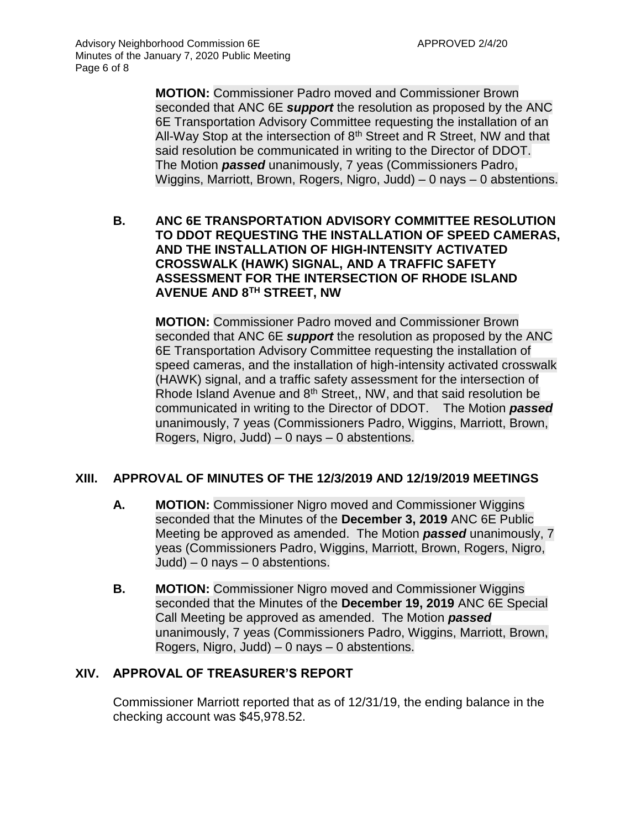**MOTION:** Commissioner Padro moved and Commissioner Brown seconded that ANC 6E *support* the resolution as proposed by the ANC 6E Transportation Advisory Committee requesting the installation of an All-Way Stop at the intersection of  $8<sup>th</sup>$  Street and R Street, NW and that said resolution be communicated in writing to the Director of DDOT. The Motion *passed* unanimously, 7 yeas (Commissioners Padro, Wiggins, Marriott, Brown, Rogers, Nigro, Judd) – 0 nays – 0 abstentions.

### **B. ANC 6E TRANSPORTATION ADVISORY COMMITTEE RESOLUTION TO DDOT REQUESTING THE INSTALLATION OF SPEED CAMERAS, AND THE INSTALLATION OF HIGH-INTENSITY ACTIVATED CROSSWALK (HAWK) SIGNAL, AND A TRAFFIC SAFETY ASSESSMENT FOR THE INTERSECTION OF RHODE ISLAND AVENUE AND 8TH STREET, NW**

**MOTION:** Commissioner Padro moved and Commissioner Brown seconded that ANC 6E *support* the resolution as proposed by the ANC 6E Transportation Advisory Committee requesting the installation of speed cameras, and the installation of high-intensity activated crosswalk (HAWK) signal, and a traffic safety assessment for the intersection of Rhode Island Avenue and  $8<sup>th</sup>$  Street., NW, and that said resolution be communicated in writing to the Director of DDOT. The Motion *passed* unanimously, 7 yeas (Commissioners Padro, Wiggins, Marriott, Brown, Rogers, Nigro, Judd) – 0 nays – 0 abstentions.

# **XIII. APPROVAL OF MINUTES OF THE 12/3/2019 AND 12/19/2019 MEETINGS**

- **A. MOTION:** Commissioner Nigro moved and Commissioner Wiggins seconded that the Minutes of the **December 3, 2019** ANC 6E Public Meeting be approved as amended. The Motion *passed* unanimously, 7 yeas (Commissioners Padro, Wiggins, Marriott, Brown, Rogers, Nigro, Judd) – 0 nays – 0 abstentions.
- **B. MOTION:** Commissioner Nigro moved and Commissioner Wiggins seconded that the Minutes of the **December 19, 2019** ANC 6E Special Call Meeting be approved as amended. The Motion *passed* unanimously, 7 yeas (Commissioners Padro, Wiggins, Marriott, Brown, Rogers, Nigro, Judd) – 0 nays – 0 abstentions.

# **XIV. APPROVAL OF TREASURER'S REPORT**

Commissioner Marriott reported that as of 12/31/19, the ending balance in the checking account was \$45,978.52.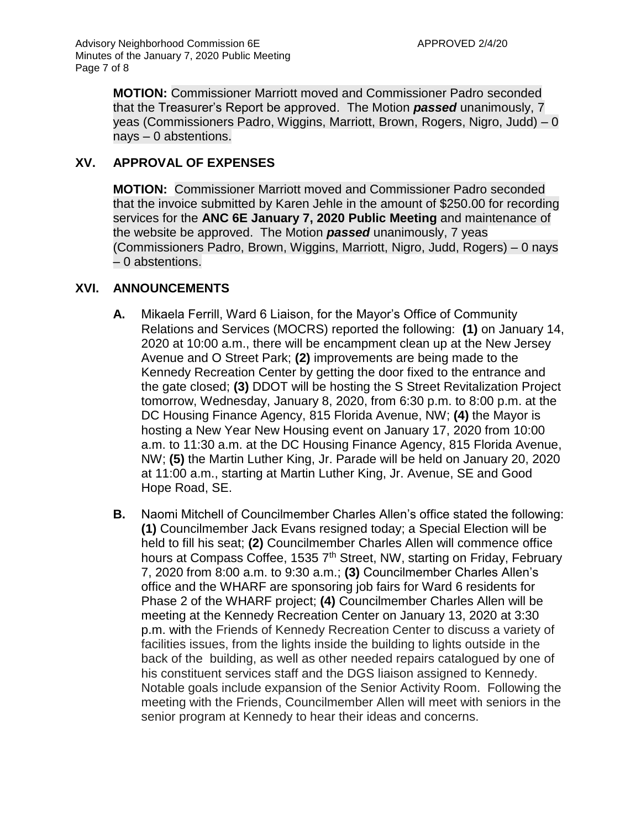**MOTION:** Commissioner Marriott moved and Commissioner Padro seconded that the Treasurer's Report be approved. The Motion *passed* unanimously, 7 yeas (Commissioners Padro, Wiggins, Marriott, Brown, Rogers, Nigro, Judd) – 0 nays – 0 abstentions.

## **XV. APPROVAL OF EXPENSES**

**MOTION:** Commissioner Marriott moved and Commissioner Padro seconded that the invoice submitted by Karen Jehle in the amount of \$250.00 for recording services for the **ANC 6E January 7, 2020 Public Meeting** and maintenance of the website be approved. The Motion *passed* unanimously, 7 yeas (Commissioners Padro, Brown, Wiggins, Marriott, Nigro, Judd, Rogers) – 0 nays – 0 abstentions.

### **XVI. ANNOUNCEMENTS**

- **A.** Mikaela Ferrill, Ward 6 Liaison, for the Mayor's Office of Community Relations and Services (MOCRS) reported the following: **(1)** on January 14, 2020 at 10:00 a.m., there will be encampment clean up at the New Jersey Avenue and O Street Park; **(2)** improvements are being made to the Kennedy Recreation Center by getting the door fixed to the entrance and the gate closed; **(3)** DDOT will be hosting the S Street Revitalization Project tomorrow, Wednesday, January 8, 2020, from 6:30 p.m. to 8:00 p.m. at the DC Housing Finance Agency, 815 Florida Avenue, NW; **(4)** the Mayor is hosting a New Year New Housing event on January 17, 2020 from 10:00 a.m. to 11:30 a.m. at the DC Housing Finance Agency, 815 Florida Avenue, NW; **(5)** the Martin Luther King, Jr. Parade will be held on January 20, 2020 at 11:00 a.m., starting at Martin Luther King, Jr. Avenue, SE and Good Hope Road, SE.
- **B.** Naomi Mitchell of Councilmember Charles Allen's office stated the following: **(1)** Councilmember Jack Evans resigned today; a Special Election will be held to fill his seat; **(2)** Councilmember Charles Allen will commence office hours at Compass Coffee, 1535 7<sup>th</sup> Street, NW, starting on Friday, February 7, 2020 from 8:00 a.m. to 9:30 a.m.; **(3)** Councilmember Charles Allen's office and the WHARF are sponsoring job fairs for Ward 6 residents for Phase 2 of the WHARF project; **(4)** Councilmember Charles Allen will be meeting at the Kennedy Recreation Center on January 13, 2020 at 3:30 p.m. with the Friends of Kennedy Recreation Center to discuss a variety of facilities issues, from the lights inside the building to lights outside in the back of the building, as well as other needed repairs catalogued by one of his constituent services staff and the DGS liaison assigned to Kennedy. Notable goals include expansion of the Senior Activity Room. Following the meeting with the Friends, Councilmember Allen will meet with seniors in the senior program at Kennedy to hear their ideas and concerns.